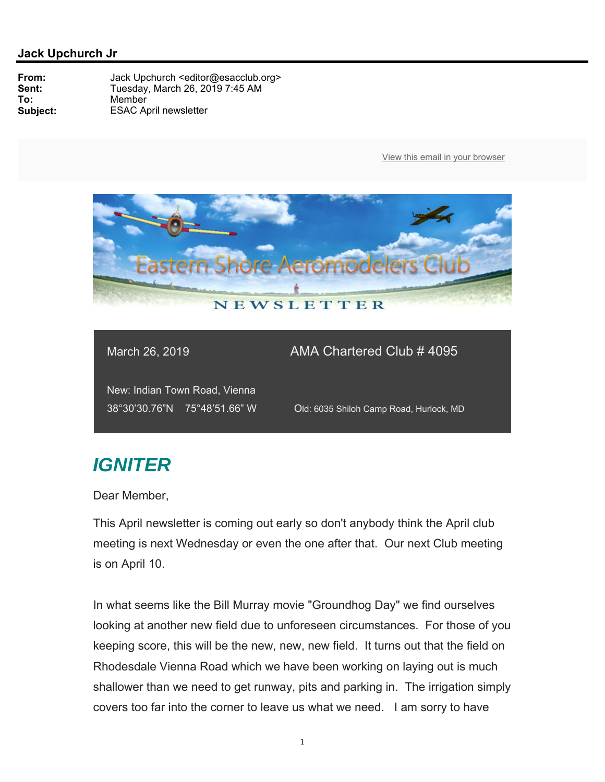

March 26, 2019 AMA Chartered Club # 4095

New: Indian Town Road, Vienna

38°30'30.76"N 75°48'51.66" W Old: 6035 Shiloh Camp Road, Hurlock, MD

## *IGNITER*

Dear Member,

This April newsletter is coming out early so don't anybody think the April club meeting is next Wednesday or even the one after that. Our next Club meeting is on April 10.

In what seems like the Bill Murray movie "Groundhog Day" we find ourselves looking at another new field due to unforeseen circumstances. For those of you keeping score, this will be the new, new, new field. It turns out that the field on Rhodesdale Vienna Road which we have been working on laying out is much shallower than we need to get runway, pits and parking in. The irrigation simply covers too far into the corner to leave us what we need. I am sorry to have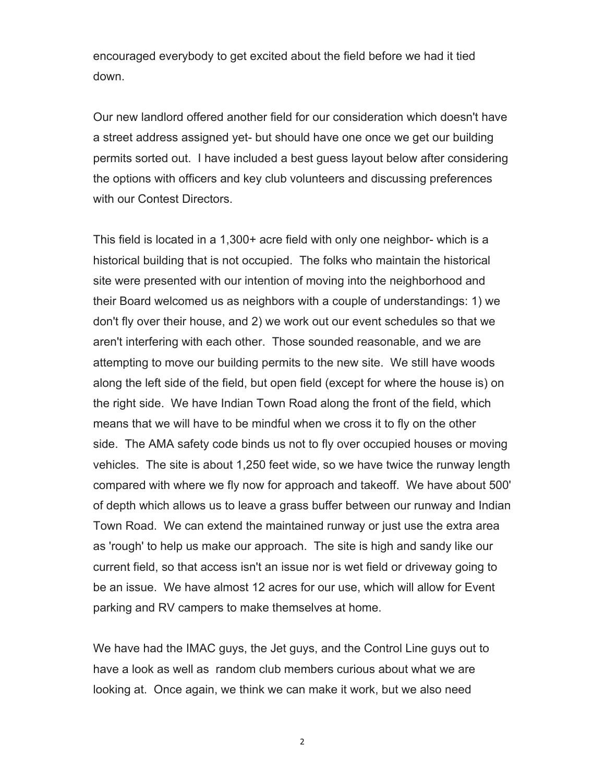encouraged everybody to get excited about the field before we had it tied down.

Our new landlord offered another field for our consideration which doesn't have a street address assigned yet- but should have one once we get our building permits sorted out. I have included a best guess layout below after considering the options with officers and key club volunteers and discussing preferences with our Contest Directors.

This field is located in a 1,300+ acre field with only one neighbor- which is a historical building that is not occupied. The folks who maintain the historical site were presented with our intention of moving into the neighborhood and their Board welcomed us as neighbors with a couple of understandings: 1) we don't fly over their house, and 2) we work out our event schedules so that we aren't interfering with each other. Those sounded reasonable, and we are attempting to move our building permits to the new site. We still have woods along the left side of the field, but open field (except for where the house is) on the right side. We have Indian Town Road along the front of the field, which means that we will have to be mindful when we cross it to fly on the other side. The AMA safety code binds us not to fly over occupied houses or moving vehicles. The site is about 1,250 feet wide, so we have twice the runway length compared with where we fly now for approach and takeoff. We have about 500' of depth which allows us to leave a grass buffer between our runway and Indian Town Road. We can extend the maintained runway or just use the extra area as 'rough' to help us make our approach. The site is high and sandy like our current field, so that access isn't an issue nor is wet field or driveway going to be an issue. We have almost 12 acres for our use, which will allow for Event parking and RV campers to make themselves at home.

We have had the IMAC guys, the Jet guys, and the Control Line guys out to have a look as well as random club members curious about what we are looking at. Once again, we think we can make it work, but we also need

2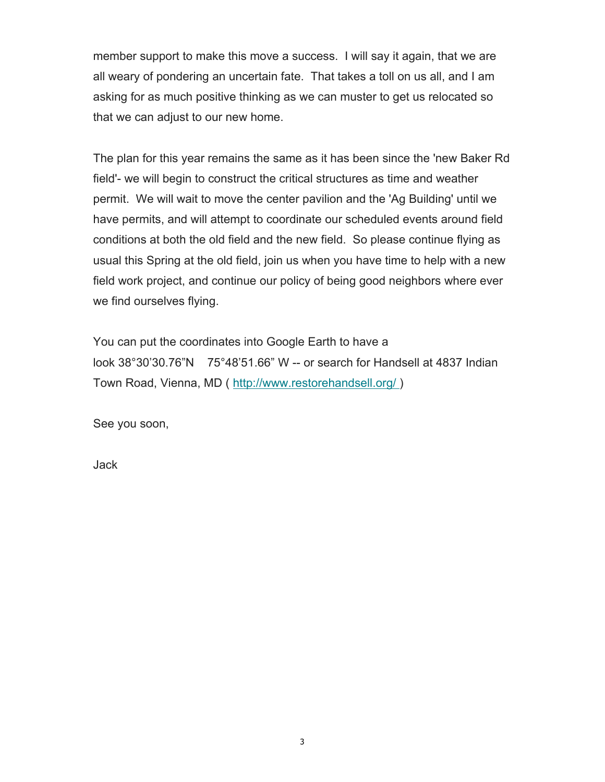member support to make this move a success. I will say it again, that we are all weary of pondering an uncertain fate. That takes a toll on us all, and I am asking for as much positive thinking as we can muster to get us relocated so that we can adjust to our new home.

The plan for this year remains the same as it has been since the 'new Baker Rd field'- we will begin to construct the critical structures as time and weather permit. We will wait to move the center pavilion and the 'Ag Building' until we have permits, and will attempt to coordinate our scheduled events around field conditions at both the old field and the new field. So please continue flying as usual this Spring at the old field, join us when you have time to help with a new field work project, and continue our policy of being good neighbors where ever we find ourselves flying.

You can put the coordinates into Google Earth to have a look 38°30'30.76"N 75°48'51.66" W -- or search for Handsell at 4837 Indian Town Road, Vienna, MD ( http://www.restorehandsell.org/ )

See you soon,

Jack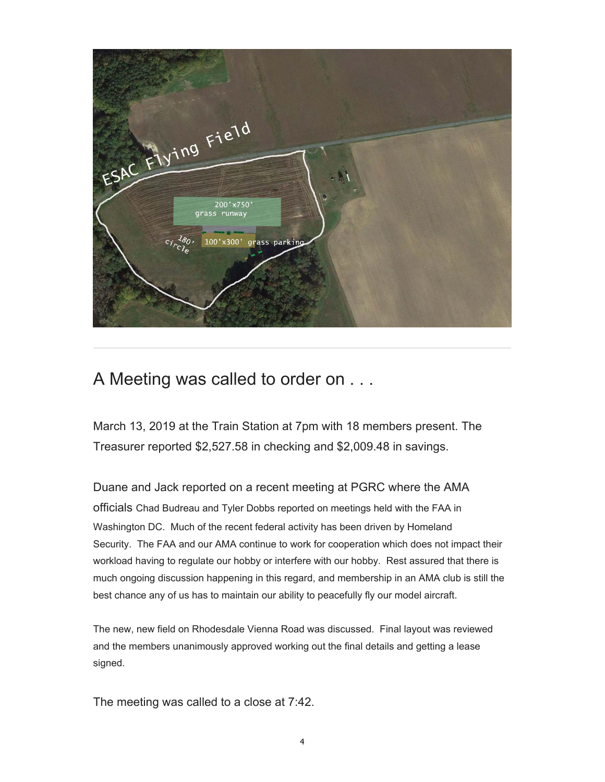

## A Meeting was called to order on . . .

March 13, 2019 at the Train Station at 7pm with 18 members present. The Treasurer reported \$2,527.58 in checking and \$2,009.48 in savings.

Duane and Jack reported on a recent meeting at PGRC where the AMA officials Chad Budreau and Tyler Dobbs reported on meetings held with the FAA in Washington DC. Much of the recent federal activity has been driven by Homeland Security. The FAA and our AMA continue to work for cooperation which does not impact their workload having to regulate our hobby or interfere with our hobby. Rest assured that there is much ongoing discussion happening in this regard, and membership in an AMA club is still the best chance any of us has to maintain our ability to peacefully fly our model aircraft.

The new, new field on Rhodesdale Vienna Road was discussed. Final layout was reviewed and the members unanimously approved working out the final details and getting a lease signed.

The meeting was called to a close at 7:42.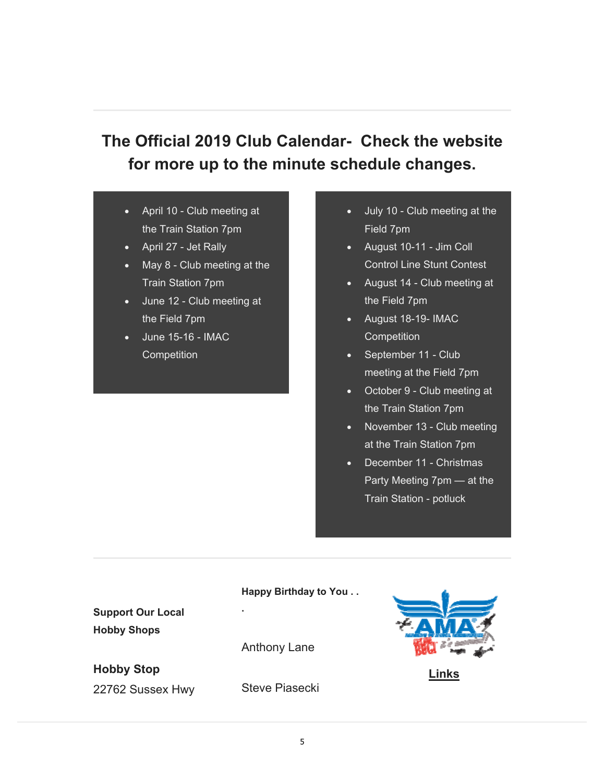## **The Official 2019 Club Calendar- Check the website for more up to the minute schedule changes.**

- April 10 Club meeting at the Train Station 7pm
- April 27 Jet Rally
- May 8 Club meeting at the Train Station 7pm
- June 12 Club meeting at the Field 7pm
- June 15-16 IMAC **Competition**
- July 10 Club meeting at the Field 7pm
- August 10-11 Jim Coll Control Line Stunt Contest
- August 14 Club meeting at the Field 7pm
- August 18-19- IMAC **Competition**
- September 11 Club meeting at the Field 7pm
- October 9 Club meeting at the Train Station 7pm
- November 13 Club meeting at the Train Station 7pm
- December 11 Christmas Party Meeting 7pm — at the Train Station - potluck